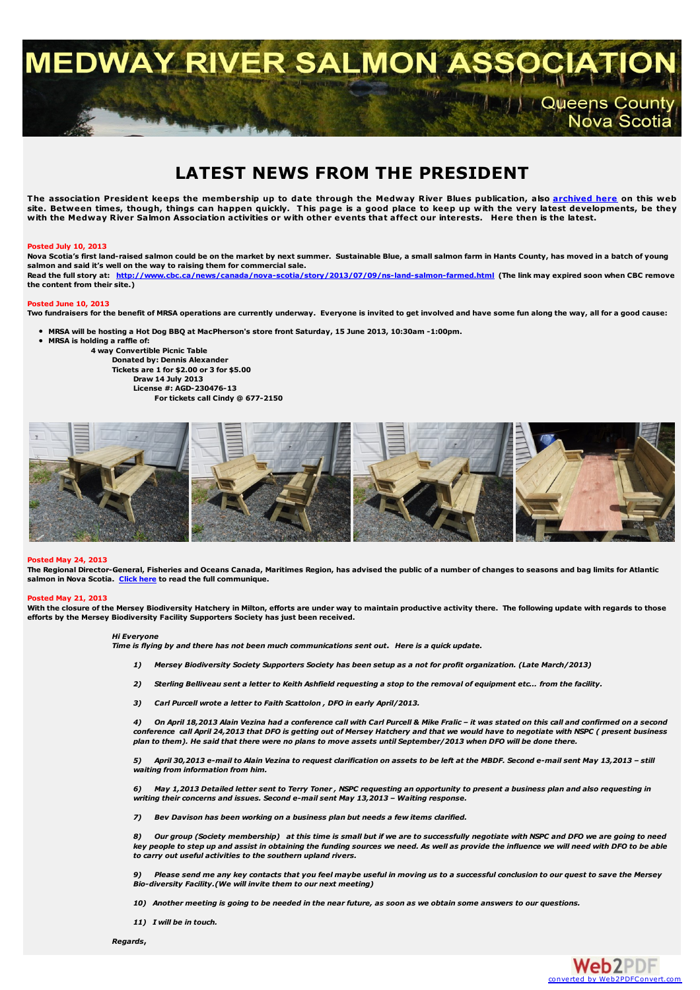**MEDWAY RIVER SALMON ASSO** 

# **LATEST NEWS FROM THE PRESIDENT**

The association President keeps the membership up to date through the Medway River Blues publication, also <u>[archived](http://medwayriversalmonassociation.org/archives/archives.html) here</u> on this web site. Between times, though, things can happen quickly. This page is a good place to keep up with the very latest developments, be they<br>with the Medway River Salmon Association activities or with other events that affect

#### **Posted July 10, 2013**

Nova Scotia's first land-raised salmon could be on the market by next summer. Sustainable Blue, a small salmon farm in Hants County, has moved in a batch of young **salmon and said it's well on the way to raising them for commercial sale.** Read the full story at: <http://www.cbc.ca/news/canada/nova-scotia/story/2013/07/09/ns-land-salmon-farmed.html> (The link may expired soon when CBC remove **the content from their site.)**

# **Posted June 10, 2013**

Two fundraisers for the benefit of MRSA operations are currently underway. Everyone is invited to get involved and have some fun along the way, all for a good cause:

- . MRSA will be hosting a Hot Dog BBO at MacPherson's store front Saturday, 15 June 2013, 10:30am -1:00pm.
- **MRSA is holding a raffle of:**
	- **4 way Convertible Picnic Table**

**Donated by: Dennis Alexander Tickets are 1 for \$2.00 or 3 for \$5.00 Draw 14 July 2013**

**License #: AGD-230476-13**

**For tickets call Cindy @ 677-2150**



#### **Posted May 24, 2013**

The Regional Director-General, Fisheries and Oceans Canada, Maritimes Region, has advised the public of a number of changes to seasons and bag limits for Atlantic **salmon in Nova Scotia. [Click](http://medwayriversalmonassociation.org/presidentsnews/SalmonAnglingSeason2013Notice%28Bil%29.pdf) here to read the full communique.**

#### **Posted May 21, 2013**

With the closure of the Mersey Biodiversity Hatchery in Milton, efforts are under way to maintain productive activity there. The following update with regards to those **efforts by the Mersey Biodiversity Facility Supporters Society has just been received.**

#### *Hi Everyone*

Time is flying by and there has not been much communications sent out. Here is a quick update.

- 1) Mersey Biodiversity Society Supporters Society has been setup as a not for profit organization. (Late March/2013)
- 2) Sterling Belliveau sent a letter to Keith Ashfield requesting a stop to the removal of equipment etc... from the facility.
- *3) Carl Purcell wrote a letter to Faith Scattolon , DFO in early April/2013.*

4) On April 18,2013 Alain Vezina had a conference call with Carl Purcell & Mike Fralic - it was stated on this call and confirmed on a second conference call April 24,2013 that DFO is getting out of Mersey Hatchery and that we would have to negotiate with NSPC (present business plan to them). He said that there were no plans to move assets until September/2013 when DFO will be done there.

5) April 30,2013 e-mail to Alain Vezina to request clarification on assets to be left at the MBDF. Second e-mail sent May 13,2013 - still *waiting from information from him.*

6) May 1,2013 Detailed letter sent to Terry Toner, NSPC requesting an opportunity to present a business plan and also requesting in *writing their concerns and issues. Second e-mail sent May 13,2013 – Waiting response.*

*7) Bev Davison has been working on a business plan but needs a few items clarified.*

8) Our group (Society membership) at this time is small but if we are to successfully negotiate with NSPC and DFO we are going to need key people to step up and assist in obtaining the funding sources we need. As well as provide the influence we will need with DFO to be able *to carry out useful activities to the southern upland rivers.*

Please send me any key contacts that you feel maybe useful in moving us to a successful conclusion to our quest to save the Mersey *Bio-diversity Facility.(We will invite them to our next meeting)*

10) Another meeting is going to be needed in the near future, as soon as we obtain some answers to our questions.

*11) I will be in touch.*

*Regards***,**



t / / Queens County<br>Nova Scotia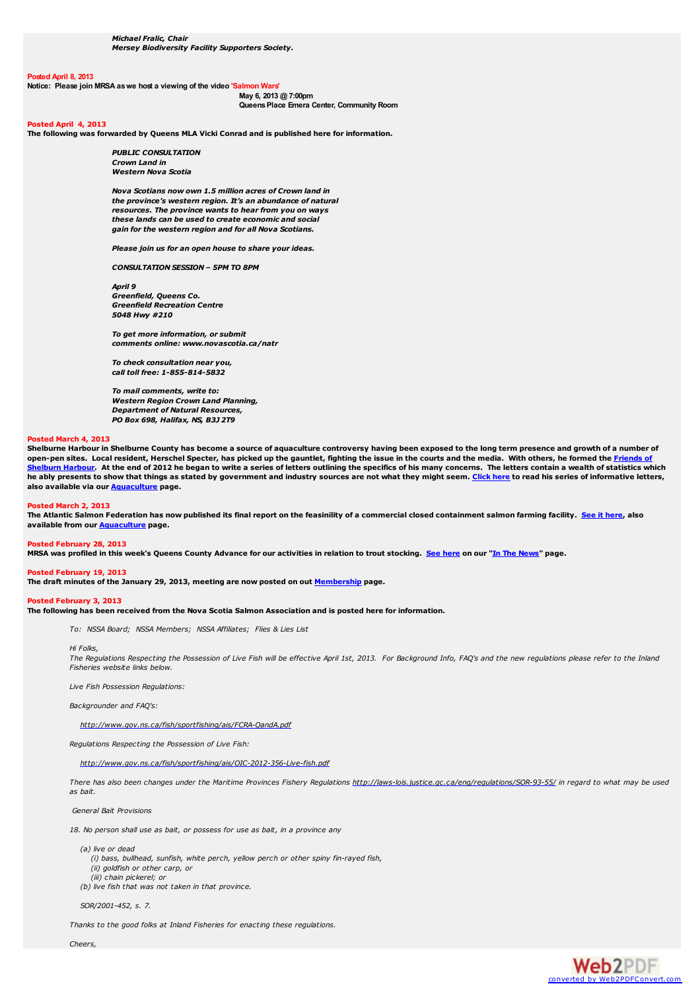#### **Posted April 8, 2013**

**Notice: Please join MRSA aswe host a viewing of the video 'Salmon Wars'**

**May 6, 2013 @ 7:00pm QueensPlace Emera Center, Community Room**

#### **Posted April 4, 2013**

**The following was forwarded by Queens MLA Vicki Conrad and is published here for information.**

*PUBLIC CONSULTATION Crown Land in Western Nova Scotia*

*Nova Scotians now own 1.5 million acres of Crown land in the province's western region. It's an abundance of natural resources. The province wants to hear from you on ways these lands can be used to create economic and social gain for the western region and for all Nova Scotians.*

*Please join us for an open house to share your ideas.*

*CONSULTATION SESSION – 5PM TO 8PM*

*April 9 Greenfield, Queens Co. Greenfield Recreation Centre 5048 Hwy #210*

*To get more information, or submit comments online: www.novascotia.ca/natr*

*To check consultation near you, call toll free: 1-855-814-5832*

*To mail comments, write to: Western Region Crown Land Planning, Department of Natural Resources, PO Box 698, Halifax, NS, B3J 2T9*

#### **Posted March 4, 2013**

Shelburne Harbour in Shelburne County has become a source of aquaculture controversy having been exposed to the long term presence and growth of a number of [open-pen](http://friendsofshelburneharbour.org/) sites. Local resident, Herschel Specter, has picked up the gauntlet, fighting the issue in the courts and the media. With others, he formed the Friends o Shelburn Harbour. At the end of 2012 he began to write a series of letters outlining the specifics of his many concerns. The letters contain a wealth of statistics which he ably presents to show that things as stated by government and industry sources are not what they might seem. [Click](http://medwayriversalmonassociation.org/aquaculture/HerschellSpecterLetters.html) here to read his series of informative letters, **also available via our [Aquaculture](http://medwayriversalmonassociation.org/aquaculture/aquaculture.html) page.**

#### **Posted March 2, 2013**

The Atlantic Salmon Federation has now published its final report on the feasinility of a commercial closed containment salmon farming facility. See it [here](http://medwayriversalmonassociation.org/aquaculture/ClosedContainmentReport.pdf), also **available from our [Aquaculture](http://medwayriversalmonassociation.org/aquaculture/aquaculture.html) page.**

# **Posted February 28, 2013**

MRSA was profiled in this week's Queens County Advance for our activities in relation to trout stocking. See [here](http://medwayriversalmonassociation.org/news/Advance26Feb2013.pdf) on our "In The [News](http://medwayriversalmonassociation.org/news/inthenews.html)" page.

## **Posted February 19, 2013**

**The draft minutes of the January 29, 2013, meeting are now posted on out [Membership](http://medwayriversalmonassociation.org/membership/membership.html) page.**

# **Posted February 3, 2013**

The following has been received from the Nova Scotia Salmon Association and is posted here for information.

*To: NSSA Board; NSSA Members; NSSA Affiliates; Flies & Lies List*

*Hi Folks,*

The Regulations Respecting the Possession of Live Fish will be effective April 1st, 2013. For Background Info, FAQ's and the new regulations please refer to the Inland *Fisheries website links below.*

*Live Fish Possession Regulations:*

*Backgrounder and FAQ's:*

*<http://www.gov.ns.ca/fish/sportfishing/ais/FCRA-QandA.pdf>*

*Regulations Respecting the Possession of Live Fish:*

*<http://www.gov.ns.ca/fish/sportfishing/ais/OIC-2012-356-Live-fish.pdf>*

There has also been changes under the Maritime Provinces Fishery Regulations <http://laws-lois.justice.gc.ca/eng/regulations/SOR-93-55/> in regard to what may be used *as bait.*

*General Bait Provisions*

*18. No person shall use as bait, or possess for use as bait, in a province any*

*(a) live or dead*

- *(i) bass, bullhead, sunfish, white perch, yellow perch or other spiny fin-rayed fish,*
- *(ii) goldfish or other carp, or (iii) chain pickerel; or*

*(b) live fish that was not taken in that province.*

*SOR/2001-452, s. 7.*

*Thanks to the good folks at Inland Fisheries for enacting these regulations.*

*Cheers,*

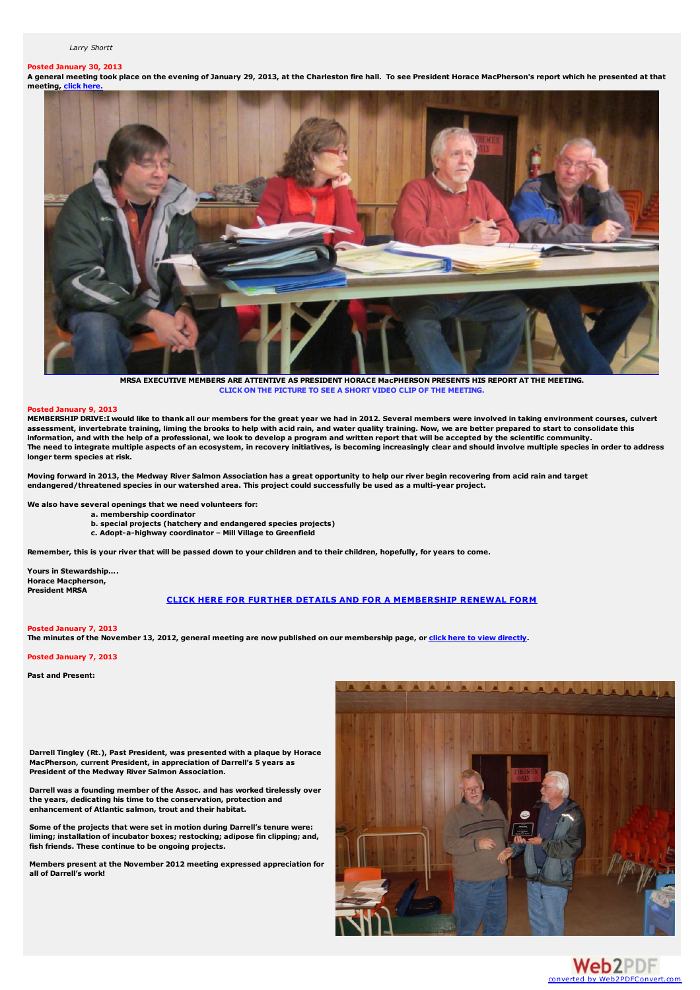#### *Larry Shortt*

# **Posted January 30, 2013**

A general meeting took place on the evening of January 29, 2013, at the Charleston fire hall. To see President Horace MacPherson's report which he presented at that **meeting, click here** 



**MRSA EXECUTIVE MEMBERS ARE ATTENTIVE AS PRESIDENT HORACE MacPHERSON PRESENTS HIS REPORT AT THE MEETING. CLICK ON THE PICTURE TO SEE A SHORT VIDEO CLIP OF THE MEETING.**

#### **Posted January 9, 2013**

MEMBERSHIP DRIVE:I would like to thank all our members for the great year we had in 2012. Several members were involved in taking environment courses, culvert assessment, invertebrate training, liming the brooks to help with acid rain, and water quality training. Now, we are better prepared to start to consolidate this information, and with the help of a professional, we look to develop a program and written report that will be accepted by the scientific community. The need to integrate multiple aspects of an ecosystem, in recovery initiatives, is becoming increasingly clear and should involve multiple species in order to address **longer term species at risk.**

Moving forward in 2013, the Medway River Salmon Association has a great opportunity to help our river begin recovering from acid rain and target endangered/threatened species in our watershed area. This project could successfully be used as a multi-year project.

**We also have several openings that we need volunteers for:**

- **a. membership coordinator**
- **b. special projects (hatchery and endangered species projects)**
- **c. Adopt-a-highway coordinator – Mill Village to Greenfield**

Remember, this is your river that will be passed down to your children and to their children, hopefully, for years to come,

**Yours in Stewardship…. Horace Macpherson, President MRSA**

# **CLICK HERE FOR FURTHER DETAILS AND FOR A [MEMBERSHIP](http://medwayriversalmonassociation.org/presidentsnews/MembershipDrive2013.pdf) RENEWAL FORM**

#### **Posted January 7, 2013**

The minutes of the November 13, 2012, general meeting are now published on our membership page, or click here to view [directly](http://medwayriversalmonassociation.org/membership/mrsa_minutes Nov 2012.pdf).

# **Posted January 7, 2013**

**Past and Present:**

**Darrell Tingley (Rt.), Past President, was presented with a plaque by Horace MacPherson, current President, in appreciation of Darrell's 5 years as President of the Medway River Salmon Association.**

**Darrell was a founding member of the Assoc. and has worked tirelessly over the years, dedicating his time to the conservation, protection and enhancement of Atlantic salmon, trout and their habitat.**

**Some of the projects that were set in motion during Darrell's tenure were: liming; installation of incubator boxes; restocking; adipose fin clipping; and, fish friends. These continue to be ongoing projects.**

**Members present at the November 2012 meeting expressed appreciation for all of Darrell's work!**